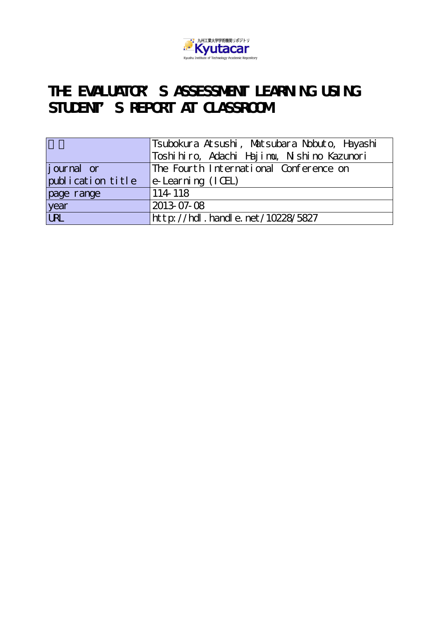

# THE EVALUATOR<sup>S</sup> S ASSESSMENT LEARNING USING STUDENT'S REPORT AT CLASSROOM

|                   | Tsubokura Atsushi, Matsubara Nobuto, Hayashi |
|-------------------|----------------------------------------------|
|                   | Toshihiro, Adachi Hajimu, Nishino Kazunori   |
| journal or        | The Fourth International Conference on       |
| publication title | $e$ -Learning $(ICEL)$                       |
| page range        | 114 118                                      |
| year<br>URL       | 2013-07-08                                   |
|                   | http://hdl.handle.net/10228/5827             |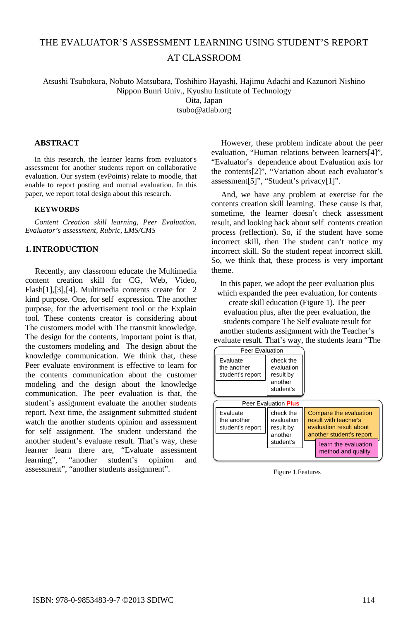# THE EVALUATOR'S ASSESSMENT LEARNING USING STUDENT'S REPORT AT CLASSROOM

Atsushi Tsubokura, Nobuto Matsubara, Toshihiro Hayashi, Hajimu Adachi and Kazunori Nishino Nippon Bunri Univ., Kyushu Institute of Technology

Oita, Japan

tsubo@atlab.org

# **ABSTRACT**

In this research, the learner learns from evaluator's assessment for another students report on collaborative evaluation. Our system (evPoints) relate to moodle, that enable to report posting and mutual evaluation. In this paper, we report total design about this research.

#### **KEYWORDS**

*Content Creation skill learning, Peer Evaluation, Evaluator's assessment, Rubric, LMS/CMS* 

# **1.INTRODUCTION**

Recently, any classroom educate the Multimedia content creation skill for CG, Web, Video, Flash[1],[3],[4]. Multimedia contents create for 2 kind purpose. One, for self expression. The another purpose, for the advertisement tool or the Explain tool. These contents creator is considering about The customers model with The transmit knowledge. The design for the contents, important point is that, the customers modeling and The design about the knowledge communication. We think that, these Peer evaluate environment is effective to learn for the contents communication about the customer modeling and the design about the knowledge communication. The peer evaluation is that, the student's assignment evaluate the another students report. Next time, the assignment submitted student watch the another students opinion and assessment for self assignment. The student understand the another student's evaluate result. That's way, these learner learn there are, "Evaluate assessment learning", "another student's opinion and assessment", "another students assignment".

However, these problem indicate about the peer evaluation, "Human relations between learners[4]", "Evaluator's dependence about Evaluation axis for the contents[2]", "Variation about each evaluator's assessment[5]", "Student's privacy[1]".

And, we have any problem at exercise for the contents creation skill learning. These cause is that, sometime, the learner doesn't check assessment result, and looking back about self contents creation process (reflection). So, if the student have some incorrect skill, then The student can't notice my incorrect skill. So the student repeat incorrect skill. So, we think that, these process is very important theme.

In this paper, we adopt the peer evaluation plus which expanded the peer evaluation, for contents create skill education (Figure 1). The peer evaluation plus, after the peer evaluation, the students compare The Self evaluate result for another students assignment with the Teacher's evaluate result. That's way, the students learn "The



Figure 1.Features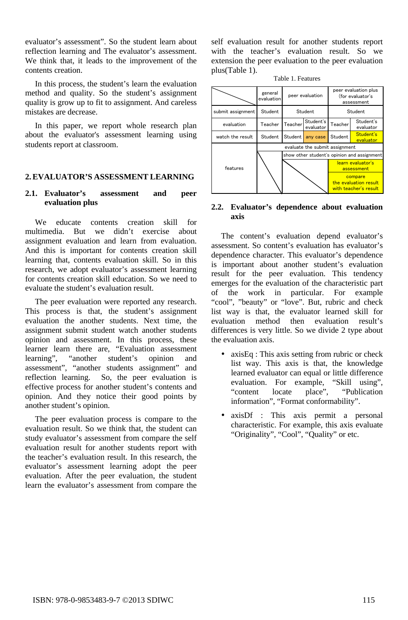evaluator's assessment". So the student learn about reflection learning and The evaluator's assessment. We think that, it leads to the improvement of the contents creation.

In this process, the student's learn the evaluation method and quality. So the student's assignment quality is grow up to fit to assignment. And careless mistakes are decrease.

In this paper, we report whole research plan about the evaluator's assessment learning using students report at classroom.

# **2.EVALUATOR'S ASSESSMENT LEARNING**

# **2.1. Evaluator's assessment and peer evaluation plus**

We educate contents creation skill for multimedia. But we didn't exercise about assignment evaluation and learn from evaluation. And this is important for contents creation skill learning that, contents evaluation skill. So in this research, we adopt evaluator's assessment learning for contents creation skill education. So we need to evaluate the student's evaluation result.

The peer evaluation were reported any research. This process is that, the student's assignment evaluation the another students. Next time, the assignment submit student watch another students opinion and assessment. In this process, these learner learn there are, "Evaluation assessment learning", "another student's opinion and assessment", "another students assignment" and reflection learning. So, the peer evaluation is effective process for another student's contents and opinion. And they notice their good points by another student's opinion.

The peer evaluation process is compare to the evaluation result. So we think that, the student can study evaluator's assessment from compare the self evaluation result for another students report with the teacher's evaluation result. In this research, the evaluator's assessment learning adopt the peer evaluation. After the peer evaluation, the student learn the evaluator's assessment from compare the

self evaluation result for another students report with the teacher's evaluation result. So we extension the peer evaluation to the peer evaluation plus(Table 1).

| Table 1. Features |  |
|-------------------|--|
|-------------------|--|



#### **2.2. Evaluator's dependence about evaluation axis**

The content's evaluation depend evaluator's assessment. So content's evaluation has evaluator's dependence character. This evaluator's dependence is important about another student's evaluation result for the peer evaluation. This tendency emerges for the evaluation of the characteristic part of the work in particular. For example "cool", "beauty" or "love". But, rubric and check list way is that, the evaluator learned skill for evaluation method then evaluation result's differences is very little. So we divide 2 type about the evaluation axis.

- axisEq : This axis setting from rubric or check list way. This axis is that, the knowledge learned evaluator can equal or little difference evaluation. For example, "Skill using", "content locate place", "Publication information", "Format conformability".
- axisDf : This axis permit a personal characteristic. For example, this axis evaluate "Originality", "Cool", "Quality" or etc.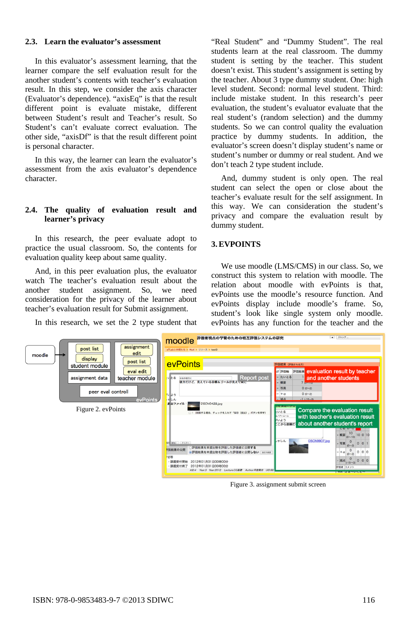## **2.3. Learn the evaluator's assessment**

In this evaluator's assessment learning, that the learner compare the self evaluation result for the another student's contents with teacher's evaluation result. In this step, we consider the axis character (Evaluator's dependence). "axisEq" is that the result different point is evaluate mistake, different between Student's result and Teacher's result. So Student's can't evaluate correct evaluation. The other side, "axisDf" is that the result different point is personal character.

In this way, the learner can learn the evaluator's assessment from the axis evaluator's dependence character.

# **2.4. The quality of evaluation result and learner's privacy**

In this research, the peer evaluate adopt to practice the usual classroom. So, the contents for evaluation quality keep about same quality.

And, in this peer evaluation plus, the evaluator watch The teacher's evaluation result about the another student assignment. So, we need consideration for the privacy of the learner about teacher's evaluation result for Submit assignment.

In this research, we set the 2 type student that

"Real Student" and "Dummy Student". The real students learn at the real classroom. The dummy student is setting by the teacher. This student doesn't exist. This student's assignment is setting by the teacher. About 3 type dummy student. One: high level student. Second: normal level student. Third: include mistake student. In this research's peer evaluation, the student's evaluator evaluate that the real student's (random selection) and the dummy students. So we can control quality the evaluation practice by dummy students. In addition, the evaluator's screen doesn't display student's name or student's number or dummy or real student. And we don't teach 2 type student include.

And, dummy student is only open. The real student can select the open or close about the teacher's evaluate result for the self assignment. In this way. We can consideration the student's privacy and compare the evaluation result by dummy student.

# **3.EVPOINTS**

We use moodle (LMS/CMS) in our class. So, we construct this system to relation with moodle. The relation about moodle with evPoints is that, evPoints use the moodle's resource function. And evPoints display include moodle's frame. So, student's look like single system only moodle. evPoints has any function for the teacher and the



Figure 3. assignment submit screen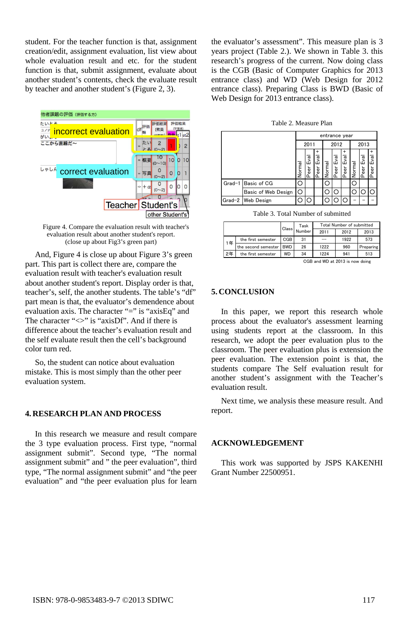student. For the teacher function is that, assignment creation/edit, assignment evaluation, list view about whole evaluation result and etc. for the student function is that, submit assignment, evaluate about another student's contents, check the evaluate result by teacher and another student's (Figure 2, 3).



Figure 4. Compare the evaluation result with teacher's evaluation result about another student's report. (close up about Fig3's green part)

And, Figure 4 is close up about Figure 3's green part. This part is collect there are, compare the evaluation result with teacher's evaluation result about another student's report. Display order is that, teacher's, self, the another students. The table's "df" part mean is that, the evaluator's demendence about evaluation axis. The character "=" is "axisEq" and The character " $\langle \rangle$ " is "axisDf". And if there is difference about the teacher's evaluation result and the self evaluate result then the cell's background color turn red.

So, the student can notice about evaluation mistake. This is most simply than the other peer evaluation system.

#### **4. RESEARCH PLAN AND PROCESS**

In this research we measure and result compare the 3 type evaluation process. First type, "normal assignment submit". Second type, "The normal assignment submit" and " the peer evaluation", third type, "The normal assignment submit" and "the peer evaluation" and "the peer evaluation plus for learn

the evaluator's assessment". This measure plan is 3 years project (Table 2.). We shown in Table 3. this research's progress of the current. Now doing class is the CGB (Basic of Computer Graphics for 2013 entrance class) and WD (Web Design for 2012 entrance class). Preparing Class is BWD (Basic of Web Design for 2013 entrance class).

|        | entrance year       |        |                |                |        |                     |                  |        |          |                     |  |
|--------|---------------------|--------|----------------|----------------|--------|---------------------|------------------|--------|----------|---------------------|--|
|        |                     |        | 2011           |                |        | 2012                |                  |        | 2013     |                     |  |
|        |                     | Normal | ण<br>पु<br>eer | $E$ val<br>eer | Normal | ण<br>पु<br>eer<br>Ω | Eval<br>eer<br>≏ | Normal | 입<br>eer | ار<br>E<br>eer<br>e |  |
| Grad-1 | Basic of CG         |        |                |                | r.     |                     |                  |        |          |                     |  |
|        | Basic of Web Design | Ő      |                |                |        |                     |                  |        |          |                     |  |
|        | Grad-2   Web Design |        |                |                |        |                     |                  |        |          |                     |  |

Table 3. Total Number of submitted

|                                       |                     | Class      | Task   | <b>Total Number of submitted</b> |      |           |  |  |
|---------------------------------------|---------------------|------------|--------|----------------------------------|------|-----------|--|--|
|                                       |                     |            | Number | 2011                             | 2012 | 2013      |  |  |
| 1年                                    | the first semester  | CGB        | 31     |                                  | 1922 | 573       |  |  |
|                                       | the second semester | <b>RWD</b> | 26     | 1222                             | 960  | Preparing |  |  |
| 2年                                    | the first semester  | WD         | 34     | 1224                             | 941  | 513       |  |  |
| $CCD$ and $MD$ at $2012$ is now deing |                     |            |        |                                  |      |           |  |  |

CGB and WD at 2013 is now doing

## **5. CONCLUSION**

In this paper, we report this research whole process about the evaluator's assessment learning using students report at the classroom. In this research, we adopt the peer evaluation plus to the classroom. The peer evaluation plus is extension the peer evaluation. The extension point is that, the students compare The Self evaluation result for another student's assignment with the Teacher's evaluation result.

Next time, we analysis these measure result. And report.

#### **ACKNOWLEDGEMENT**

This work was supported by JSPS KAKENHI Grant Number 22500951.